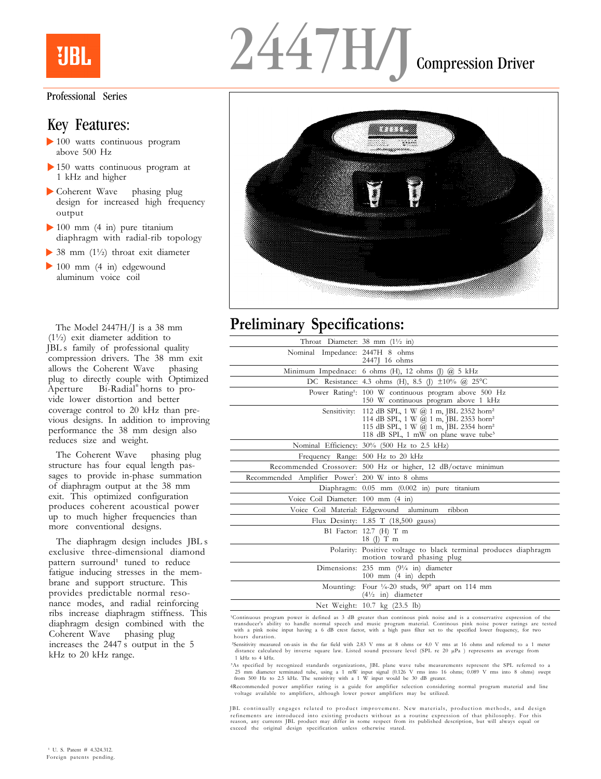# **URL**

#### Professional Series

#### Key Features:

- $\blacktriangleright$  100 watts continuous program above 500 Hz
- 150 watts continuous program at 1 kHz and higher
- ▶ Coherent Wave phasing plug design for increased high frequency output
- $\blacktriangleright$  100 mm (4 in) pure titanium diaphragm with radial-rib topology
- 38 mm (1½) throat exit diameter
- 100 mm (4 in) edgewound aluminum voice coil

The Model 2447H/J is a 38 mm (1½) exit diameter addition to JBL's family of professional quality compression drivers. The 38 mm exit allows the Coherent Wave phasing allows the Coherent Wave plug to directly couple with Optimized Aperture™ Bi-Radial® horns to provide lower distortion and better coverage control to 20 kHz than previous designs. In addition to improving performance the 38 mm design also reduces size and weight.

The Coherent Wave phasing plug structure has four equal length passages to provide in-phase summation of diaphragm output at the 38 mm exit. This optimized configuration produces coherent acoustical power up to much higher frequencies than more conventional designs.

The diaphragm design includes JBL<sub>s</sub> exclusive three-dimensional diamond pattern surround<sup>1</sup> tuned to reduce fatigue inducing stresses in the membrane and support structure. This provides predictable normal resonance modes, and radial reinforcing ribs increase diaphragm stiffness. This diaphragm design combined with the Coherent Wave phasing plug increases the 2447's output in the 5 kHz to 20 kHz range.





## **Preliminary Specifications:**

| Throat Diameter: 38 mm $(1\frac{1}{2}$ in)                   |                                                                                                                                                                                                                  |
|--------------------------------------------------------------|------------------------------------------------------------------------------------------------------------------------------------------------------------------------------------------------------------------|
| Nominal Impedance: 2447H 8 ohms                              | 2447J 16 ohms                                                                                                                                                                                                    |
|                                                              | Minimum Impednace: 6 ohms (H), 12 ohms (J) $(2, 5)$ kHz                                                                                                                                                          |
|                                                              | DC Resistance: 4.3 ohms (H), 8.5 (J) $\pm 10\%$ @ 25°C                                                                                                                                                           |
|                                                              | Power Rating <sup>1</sup> : 100 W continuous program above 500 Hz<br>150 W continuous program above 1 kHz                                                                                                        |
| Sensitivity:                                                 | 112 dB SPL, 1 W $@$ 1 m, JBL 2352 horn <sup>2</sup><br>114 dB SPL, 1 W @ 1 m, JBL 2353 hom <sup>2</sup><br>115 dB SPL, 1 W @ 1 m, JBL 2354 horn <sup>2</sup><br>118 dB SPL, 1 mW on plane wave tube <sup>3</sup> |
|                                                              | Nominal Efficiency: 30% (500 Hz to 2.5 kHz)                                                                                                                                                                      |
|                                                              | Frequency Range: 500 Hz to 20 kHz                                                                                                                                                                                |
|                                                              | Recommended Crossover: 500 Hz or higher, 12 dB/octave minimun                                                                                                                                                    |
| Recommended Amplifier Power <sup>4</sup> : 200 W into 8 ohms |                                                                                                                                                                                                                  |
|                                                              | Diaphragm: 0.05 mm (0.002 in) pure titanium                                                                                                                                                                      |
| Voice Coil Diameter: 100 mm (4 in)                           |                                                                                                                                                                                                                  |
|                                                              | Voice Coil Material: Edgewound aluminum ribbon                                                                                                                                                                   |
|                                                              | Flux Desinty: 1.85 T (18,500 gauss)                                                                                                                                                                              |
|                                                              | B1 Factor: 12.7 (H) T m<br>$18 \left( \right)$ T m                                                                                                                                                               |
|                                                              | Polarity: Positive voltage to black terminal produces diaphragm<br>motion toward phasing plug                                                                                                                    |
|                                                              | Dimensions: 235 mm $(9\frac{1}{4}$ in) diameter<br>$100$ mm $(4 \text{ in})$ depth                                                                                                                               |
|                                                              | Mounting: Four 1/4-20 studs, 90° apart on 114 mm<br>$(4\frac{1}{2}$ in) diameter                                                                                                                                 |
|                                                              | Net Weight: 10.7 kg (23.5 lb)                                                                                                                                                                                    |

'Continuous program power is defined as 3 dB greater than continous pink noise and is a conservative expression of the<br>transducer's ability to handle normal speech and music program material. Continous pink noise power rat with a pink noise input having a 6 dB crest factor, with a high pass filter set to the specified lower frequency, for two hours duration.

²Sensitivity measured on-axis in the far field with 2.83 V rms at 8 ohms or 4.0 V rms at 16 ohms and referred to a 1 meter distance calculated by inverse square law. Listed sound pressure level (SPL re 20 µPa ) represents an average from 1 kHz to 4 kHz.

<sup>3</sup>As specified by recognized standards organizations, JBL plane wave tube measurements represent the SPL referred to a<br>25 mm diameter terminated tube, using a 1 mW input signal (0.126 V rms into 16 ohms; 0.089 V rms into

4Recommended power amplifier rating is a guide for amplifier selection considering normal program material and line voltage available to amplifiers, although lower power amplifiers may be utilized.

JBL continually engages related to product improvement. New materials, production methods, and design refinements are introduced into existing products without as a routine expression of that philosophy. For this<br>reason, any currents JBL product may differ in some respect from its published description, but will always equ exceed the original design specification unless otherwise stated.